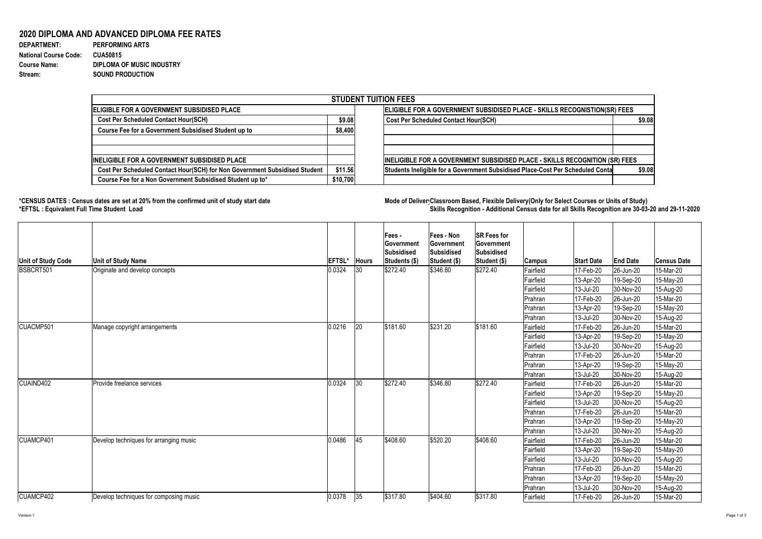Version 1 Page 1 of 3

## **2020 DIPLOMA AND ADVANCED DIPLOMA FEE RATES**

| <b>DEPARTMENT:</b>           | <b>PERFORMING ARTS</b>           |
|------------------------------|----------------------------------|
| <b>National Course Code:</b> | <b>CUA50815</b>                  |
| <b>Course Name:</b>          | <b>DIPLOMA OF MUSIC INDUSTRY</b> |
| Stream:                      | <b>SOUND PRODUCTION</b>          |

## **\*CENSUS DATES : Census dates are set at 20% from the confirmed unit of study start date Mode of DeliveryClassroom Based, Flexible Delivery(Only for Select Courses or Units of Study) \*EFTSL : Equivalent Full Time Student Load Skills Recognition - Additional Census date for all Skills Recognition are 30-03-20 and 29-11-2020**



| <b>STUDENT TUITION FEES</b>                                                |                                                                           |                                                                                          |  |  |  |  |  |
|----------------------------------------------------------------------------|---------------------------------------------------------------------------|------------------------------------------------------------------------------------------|--|--|--|--|--|
| <b>ELIGIBLE FOR A GOVERNMENT SUBSIDISED PLACE</b>                          | ELIGIBLE FOR A GOVERNMENT SUBSIDISED PLACE - SKILLS RECOGNISTION(SR) FEES |                                                                                          |  |  |  |  |  |
| <b>Cost Per Scheduled Contact Hour(SCH)</b>                                |                                                                           | <b>Cost Per Scheduled Contact Hour(SCH)</b><br>\$9.08                                    |  |  |  |  |  |
| Course Fee for a Government Subsidised Student up to                       | \$8,400                                                                   |                                                                                          |  |  |  |  |  |
| <b>INELIGIBLE FOR A GOVERNMENT SUBSIDISED PLACE</b>                        |                                                                           | INELIGIBLE FOR A GOVERNMENT SUBSIDISED PLACE - SKILLS RECOGNITION (SR) FEES              |  |  |  |  |  |
| Cost Per Scheduled Contact Hour(SCH) for Non Government Subsidised Student | \$11.56                                                                   | Students Ineligible for a Government Subsidised Place-Cost Per Scheduled Conta<br>\$9.08 |  |  |  |  |  |
| Course Fee for a Non Government Subsidised Student up to*                  | \$10,700                                                                  |                                                                                          |  |  |  |  |  |

| Unit of Study Code | <b>Unit of Study Name</b>              | <b>EFTSL*</b> | <b>Hours</b> | Fees -<br><b>Government</b><br>Subsidised<br>Students (\$) | Fees - Non<br>Government<br><b>Subsidised</b><br>Student (\$) | <b>SR Fees for</b><br><b>Government</b><br>Subsidised<br>Student (\$) | Campus    | <b>Start Date</b> | <b>End Date</b>        | <b>Census Date</b> |
|--------------------|----------------------------------------|---------------|--------------|------------------------------------------------------------|---------------------------------------------------------------|-----------------------------------------------------------------------|-----------|-------------------|------------------------|--------------------|
| BSBCRT501          | Originate and develop concepts         | 0.0324        | 30           | \$272.40                                                   | \$346.80                                                      | \$272.40                                                              | Fairfield | 17-Feb-20         | $ 26 - Jun - 20 $      | 15-Mar-20          |
|                    |                                        |               |              |                                                            |                                                               |                                                                       | Fairfield | 13-Apr-20         | 19-Sep-20              | 15-May-20          |
|                    |                                        |               |              |                                                            |                                                               |                                                                       | Fairfield | 13-Jul-20         | 30-Nov-20              | 15-Aug-20          |
|                    |                                        |               |              |                                                            |                                                               |                                                                       | Prahran   | 17-Feb-20         | 26-Jun-20              | 15-Mar-20          |
|                    |                                        |               |              |                                                            |                                                               |                                                                       | Prahran   | 13-Apr-20         | 19-Sep-20              | 15-May-20          |
|                    |                                        |               |              |                                                            |                                                               |                                                                       | Prahran   | 13-Jul-20         | 30-Nov-20              | 15-Aug-20          |
| CUACMP501          | Manage copyright arrangements          | 0.0216        | 20           | \$181.60                                                   | \$231.20                                                      | \$181.60                                                              | Fairfield | 17-Feb-20         | $ 26 - Jun-20 $        | 15-Mar-20          |
|                    |                                        |               |              |                                                            |                                                               |                                                                       | Fairfield | 13-Apr-20         | 19-Sep-20              | 15-May-20          |
|                    |                                        |               |              |                                                            |                                                               |                                                                       | Fairfield | 13-Jul-20         | 30-Nov-20              | 15-Aug-20          |
|                    |                                        |               |              |                                                            |                                                               |                                                                       | Prahran   | 17-Feb-20         | $ 26 - Jun-20 $        | 15-Mar-20          |
|                    |                                        |               |              |                                                            |                                                               |                                                                       | Prahran   | 13-Apr-20         | 19-Sep-20              | 15-May-20          |
|                    |                                        |               |              |                                                            |                                                               |                                                                       | Prahran   | 13-Jul-20         | 30-Nov-20              | 15-Aug-20          |
| CUAIND402          | <b>Provide freelance services</b>      | 0.0324        | 30           | \$272.40                                                   | \$346.80                                                      | \$272.40                                                              | Fairfield | 17-Feb-20         | 26-Jun-20              | 15-Mar-20          |
|                    |                                        |               |              |                                                            |                                                               |                                                                       | Fairfield | 13-Apr-20         | 19-Sep-20              | 15-May-20          |
|                    |                                        |               |              |                                                            |                                                               |                                                                       | Fairfield | 13-Jul-20         | 30-Nov-20              | 15-Aug-20          |
|                    |                                        |               |              |                                                            |                                                               |                                                                       | Prahran   | 17-Feb-20         | $ 26 - Jun - 20 $      | 15-Mar-20          |
|                    |                                        |               |              |                                                            |                                                               |                                                                       | Prahran   | 13-Apr-20         | 19-Sep-20              | 15-May-20          |
|                    |                                        |               |              |                                                            |                                                               |                                                                       | Prahran   | 13-Jul-20         | 30-Nov-20              | 15-Aug-20          |
| CUAMCP401          | Develop techniques for arranging music | 0.0486        | 45           | \$408.60                                                   | \$520.20                                                      | \$408.60                                                              | Fairfield | 17-Feb-20         | 26-Jun-20              | 15-Mar-20          |
|                    |                                        |               |              |                                                            |                                                               |                                                                       | Fairfield | 13-Apr-20         | 19-Sep-20              | 15-May-20          |
|                    |                                        |               |              |                                                            |                                                               |                                                                       | Fairfield | $ 13 -$ Jul-20    | 30-Nov-20              | 15-Aug-20          |
|                    |                                        |               |              |                                                            |                                                               |                                                                       | Prahran   | 17-Feb-20         | 26-Jun-20              | 15-Mar-20          |
|                    |                                        |               |              |                                                            |                                                               |                                                                       | Prahran   | $13-Apr-20$       | $ 19 - \text{Sep-}20 $ | 15-May-20          |
|                    |                                        |               |              |                                                            |                                                               |                                                                       | Prahran   | $ 13 -$ Jul-20    | 30-Nov-20              | 15-Aug-20          |
| CUAMCP402          | Develop techniques for composing music | 0.0378        | 35           | \$317.80                                                   | \$404.60                                                      | \$317.80                                                              | Fairfield | 17-Feb-20         | $ 26 - Jun - 20 $      | 15-Mar-20          |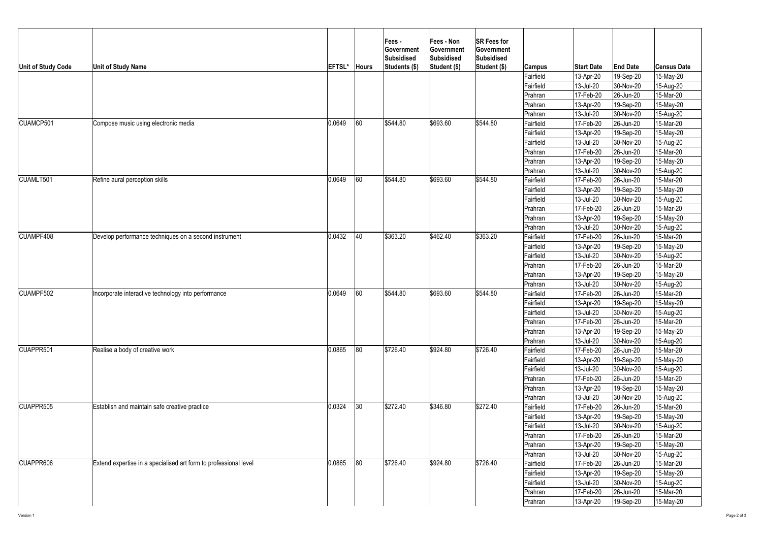

| Unit of Study Code | <b>Unit of Study Name</b>                                        | EFTSL* | <b>Hours</b> | <b>Fees-</b><br><b>Government</b><br><b>Subsidised</b><br>Students (\$) | <b>Fees - Non</b><br>Government<br>Subsidised<br>Student (\$) | <b>SR Fees for</b><br><b>Government</b><br>Subsidised<br>Student (\$) | <b>Campus</b>  | <b>Start Date</b> | <b>End Date</b>   | <b>Census Date</b> |
|--------------------|------------------------------------------------------------------|--------|--------------|-------------------------------------------------------------------------|---------------------------------------------------------------|-----------------------------------------------------------------------|----------------|-------------------|-------------------|--------------------|
|                    |                                                                  |        |              |                                                                         |                                                               |                                                                       | Fairfield      | 113-Apr-20        | 19-Sep-20         | 15-May-20          |
|                    |                                                                  |        |              |                                                                         |                                                               |                                                                       | Fairfield      | 13-Jul-20         | 30-Nov-20         | 15-Aug-20          |
|                    |                                                                  |        |              |                                                                         |                                                               |                                                                       | Prahran        | 17-Feb-20         | 26-Jun-20         | 15-Mar-20          |
|                    |                                                                  |        |              |                                                                         |                                                               |                                                                       | Prahran        | 13-Apr-20         | 19-Sep-20         | 15-May-20          |
|                    |                                                                  |        |              |                                                                         |                                                               |                                                                       | Prahran        | 13-Jul-20         | 30-Nov-20         | 15-Aug-20          |
| CUAMCP501          | Compose music using electronic media                             | 0.0649 | 60           | \$544.80                                                                | \$693.60                                                      | \$544.80                                                              | Fairfield      | 17-Feb-20         | 26-Jun-20         | 15-Mar-20          |
|                    |                                                                  |        |              |                                                                         |                                                               |                                                                       | Fairfield      | $13-Apr-20$       | 19-Sep-20         | 15-May-20          |
|                    |                                                                  |        |              |                                                                         |                                                               |                                                                       | Fairfield      | 13-Jul-20         | 30-Nov-20         | 15-Aug-20          |
|                    |                                                                  |        |              |                                                                         |                                                               |                                                                       | Prahran        | 17-Feb-20         | 26-Jun-20         | 15-Mar-20          |
|                    |                                                                  |        |              |                                                                         |                                                               |                                                                       | Prahran        | 13-Apr-20         | 19-Sep-20         | 15-May-20          |
|                    |                                                                  |        |              |                                                                         |                                                               |                                                                       | Prahran        | 13-Jul-20         | 30-Nov-20         | 15-Aug-20          |
| CUAMLT501          | Refine aural perception skills                                   | 0.0649 | 60           | \$544.80                                                                | \$693.60                                                      | \$544.80                                                              | Fairfield      | 17-Feb-20         | $ 26 - Jun - 20 $ | 15-Mar-20          |
|                    |                                                                  |        |              |                                                                         |                                                               |                                                                       | Fairfield      | 13-Apr-20         | 19-Sep-20         | 15-May-20          |
|                    |                                                                  |        |              |                                                                         |                                                               |                                                                       | Fairfield      | $ 13 -$ Jul-20    | 30-Nov-20         | 15-Aug-20          |
|                    |                                                                  |        |              |                                                                         |                                                               |                                                                       | Prahran        | 17-Feb-20         | $ 26 - Jun - 20 $ | 15-Mar-20          |
|                    |                                                                  |        |              |                                                                         |                                                               |                                                                       | Prahran        | 13-Apr-20         | 19-Sep-20         | 15-May-20          |
|                    |                                                                  |        |              |                                                                         |                                                               |                                                                       | Prahran        | 13-Jul-20         | 30-Nov-20         | 15-Aug-20          |
| CUAMPF408          | Develop performance techniques on a second instrument            | 0.0432 | $ 40\rangle$ | \$363.20                                                                | \$462.40                                                      | \$363.20                                                              | Fairfield      | 17-Feb-20         | 26-Jun-20         | 15-Mar-20          |
|                    |                                                                  |        |              |                                                                         |                                                               |                                                                       | Fairfield      | 13-Apr-20         | 19-Sep-20         | 15-May-20          |
|                    |                                                                  |        |              |                                                                         |                                                               |                                                                       | Fairfield      | $ 13 -$ Jul-20    | 30-Nov-20         | 15-Aug-20          |
|                    |                                                                  |        |              |                                                                         |                                                               |                                                                       | Prahran        | 17-Feb-20         | $ 26 - Jun - 20 $ | 15-Mar-20          |
|                    |                                                                  |        |              |                                                                         |                                                               |                                                                       | Prahran        | 13-Apr-20         | 19-Sep-20         | 15-May-20          |
|                    |                                                                  |        |              |                                                                         |                                                               |                                                                       | <b>Prahran</b> | $13$ -Jul-20      | 30-Nov-20         | 15-Aug-20          |
| CUAMPF502          | Incorporate interactive technology into performance              | 0.0649 | 60           | \$544.80                                                                | \$693.60                                                      | \$544.80                                                              | Fairfield      | 17-Feb-20         | 26-Jun-20         | 15-Mar-20          |
|                    |                                                                  |        |              |                                                                         |                                                               |                                                                       | Fairfield      | $ 13 - Apr-20 $   | 19-Sep-20         | 15-May-20          |
|                    |                                                                  |        |              |                                                                         |                                                               |                                                                       | Fairfield      | 13-Jul-20         | 30-Nov-20         | 15-Aug-20          |
|                    |                                                                  |        |              |                                                                         |                                                               |                                                                       | Prahran        | 17-Feb-20         | 26-Jun-20         | 15-Mar-20          |
|                    |                                                                  |        |              |                                                                         |                                                               |                                                                       | Prahran        | $ 13 - Apr-20 $   | 19-Sep-20         | 15-May-20          |
|                    |                                                                  |        |              |                                                                         |                                                               |                                                                       | Prahran        | $ 13 -$ Jul-20    | 30-Nov-20         | 15-Aug-20          |
| CUAPPR501          | Realise a body of creative work                                  | 0.0865 | $ 80\rangle$ | \$726.40                                                                | \$924.80                                                      | \$726.40                                                              | Fairfield      | 17-Feb-20         | 26-Jun-20         | 15-Mar-20          |
|                    |                                                                  |        |              |                                                                         |                                                               |                                                                       | Fairfield      | 13-Apr-20         | 19-Sep-20         | 15-May-20          |
|                    |                                                                  |        |              |                                                                         |                                                               |                                                                       | Fairfield      | 13-Jul-20         | 30-Nov-20         | 15-Aug-20          |
|                    |                                                                  |        |              |                                                                         |                                                               |                                                                       | Prahran        | 17-Feb-20         | $ 26 - Jun - 20 $ | 15-Mar-20          |
|                    |                                                                  |        |              |                                                                         |                                                               |                                                                       | Prahran        | 13-Apr-20         | 19-Sep-20         | 15-May-20          |
|                    |                                                                  |        |              |                                                                         |                                                               |                                                                       | Prahran        | 13-Jul-20         | 30-Nov-20         | 15-Aug-20          |
| CUAPPR505          | <b>Establish and maintain safe creative practice</b>             | 0.0324 | 30           | \$272.40                                                                | \$346.80                                                      | \$272.40                                                              | Fairfield      | 17-Feb-20         | 26-Jun-20         | 15-Mar-20          |
|                    |                                                                  |        |              |                                                                         |                                                               |                                                                       | Fairfield      | 13-Apr-20         | 19-Sep-20         | 15-May-20          |
|                    |                                                                  |        |              |                                                                         |                                                               |                                                                       | Fairfield      | 13-Jul-20         | $ 30-Nov-20 $     | 15-Aug-20          |
|                    |                                                                  |        |              |                                                                         |                                                               |                                                                       | Prahran        | 17-Feb-20         | 26-Jun-20         | 15-Mar-20          |
|                    |                                                                  |        |              |                                                                         |                                                               |                                                                       | Prahran        | 13-Apr-20         | 19-Sep-20         | 15-May-20          |
|                    |                                                                  |        |              |                                                                         |                                                               |                                                                       | Prahran        | 13-Jul-20         | $ 30-Nov-20 $     | 15-Aug-20          |
| CUAPPR606          | Extend expertise in a specialised art form to professional level | 0.0865 | $ 80\rangle$ | \$726.40                                                                | \$924.80                                                      | \$726.40                                                              | Fairfield      | 17-Feb-20         | 26-Jun-20         | 15-Mar-20          |
|                    |                                                                  |        |              |                                                                         |                                                               |                                                                       | Fairfield      | 13-Apr-20         | 19-Sep-20         | 15-May-20          |
|                    |                                                                  |        |              |                                                                         |                                                               |                                                                       | Fairfield      | 13-Jul-20         | 30-Nov-20         | 15-Aug-20          |
|                    |                                                                  |        |              |                                                                         |                                                               |                                                                       | Prahran        | 17-Feb-20         | 26-Jun-20         | 15-Mar-20          |
|                    |                                                                  |        |              |                                                                         |                                                               |                                                                       | Prahran        | $ 13 - Apr-20 $   | 19-Sep-20         | 15-May-20          |